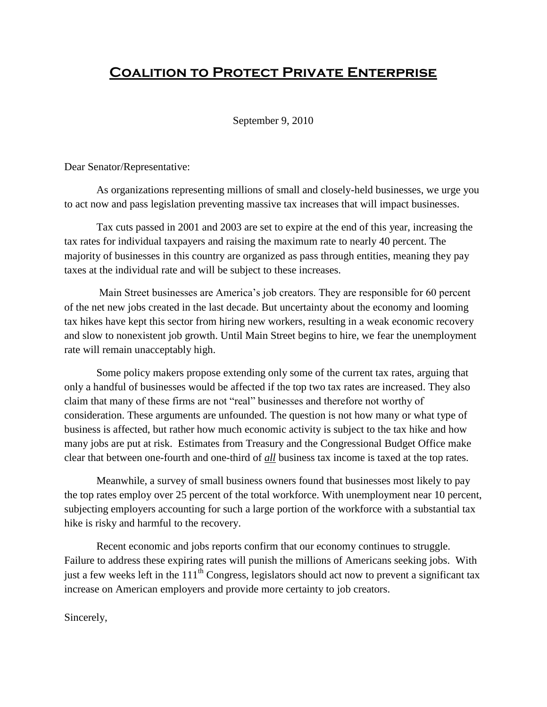## **Coalition to Protect Private Enterprise**

September 9, 2010

Dear Senator/Representative:

As organizations representing millions of small and closely-held businesses, we urge you to act now and pass legislation preventing massive tax increases that will impact businesses.

Tax cuts passed in 2001 and 2003 are set to expire at the end of this year, increasing the tax rates for individual taxpayers and raising the maximum rate to nearly 40 percent. The majority of businesses in this country are organized as pass through entities, meaning they pay taxes at the individual rate and will be subject to these increases.

Main Street businesses are America's job creators. They are responsible for 60 percent of the net new jobs created in the last decade. But uncertainty about the economy and looming tax hikes have kept this sector from hiring new workers, resulting in a weak economic recovery and slow to nonexistent job growth. Until Main Street begins to hire, we fear the unemployment rate will remain unacceptably high.

Some policy makers propose extending only some of the current tax rates, arguing that only a handful of businesses would be affected if the top two tax rates are increased. They also claim that many of these firms are not "real" businesses and therefore not worthy of consideration. These arguments are unfounded. The question is not how many or what type of business is affected, but rather how much economic activity is subject to the tax hike and how many jobs are put at risk. Estimates from Treasury and the Congressional Budget Office make clear that between one-fourth and one-third of *all* business tax income is taxed at the top rates.

Meanwhile, a survey of small business owners found that businesses most likely to pay the top rates employ over 25 percent of the total workforce. With unemployment near 10 percent, subjecting employers accounting for such a large portion of the workforce with a substantial tax hike is risky and harmful to the recovery.

Recent economic and jobs reports confirm that our economy continues to struggle. Failure to address these expiring rates will punish the millions of Americans seeking jobs. With just a few weeks left in the  $111<sup>th</sup>$  Congress, legislators should act now to prevent a significant tax increase on American employers and provide more certainty to job creators.

Sincerely,